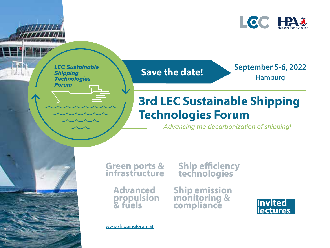

*LEC Sustainable Shipping Technologies Forum*

 $\sum_{i=1}^{\infty}$ 

© fotolia

### **Save the date!**

September 5-6, 2022 Hamburg

## **3rd LEC Sustainable Shipping Technologies Forum**

*Advancing the decarbonization of shipping!*

**Green ports &** 

# **infrastructure Ship efficiency technologies**

**Advanced propulsion & fuels**

**Ship emission monitoring & compliance Invited** 



www.shippingforum.at